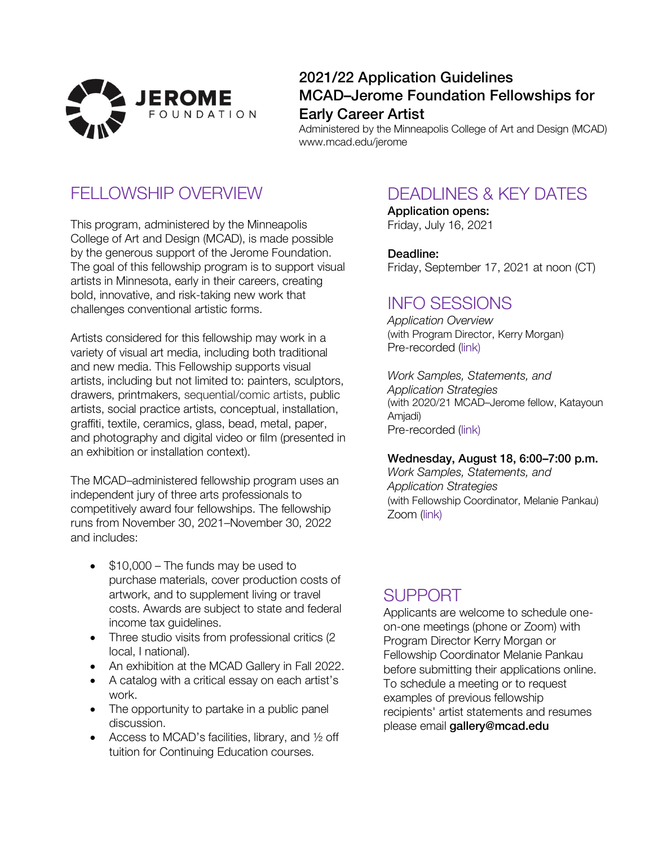

### 2021/22 Application Guidelines MCAD–Jerome Foundation Fellowships for Early Career Artist

Administered by the Minneapolis College of Art and Design (MCAD) www.mcad.edu/jerome

## FELLOWSHIP OVERVIEW

This program, administered by the Minneapolis College of Art and Design (MCAD), is made possible by the generous support of the Jerome Foundation. The goal of this fellowship program is to support visual artists in Minnesota, early in their careers, creating bold, innovative, and risk-taking new work that challenges conventional artistic forms.

Artists considered for this fellowship may work in a variety of visual art media, including both traditional and new media. This Fellowship supports visual artists, including but not limited to: painters, sculptors, drawers, printmakers, sequential/comic artists, public artists, social practice artists, conceptual, installation, graffiti, textile, ceramics, glass, bead, metal, paper, and photography and digital video or film (presented in an exhibition or installation context).

The MCAD–administered fellowship program uses an independent jury of three arts professionals to competitively award four fellowships. The fellowship runs from November 30, 2021–November 30, 2022 and includes:

- \$10,000 The funds may be used to purchase materials, cover production costs of artwork, and to supplement living or travel costs. Awards are subject to state and federal income tax guidelines.
- Three studio visits from professional critics (2) local, I national).
- An exhibition at the MCAD Gallery in Fall 2022.
- A catalog with a critical essay on each artist's work.
- The opportunity to partake in a public panel discussion.
- Access to MCAD's facilities, library, and  $\frac{1}{2}$  off tuition for Continuing Education courses.

## DEADLINES & KEY DATES

Application opens: Friday, July 16, 2021

Deadline: Friday, September 17, 2021 at noon (CT)

### INFO SESSIONS

*Application Overview* (with Program Director, Kerry Morgan) Pre-recorded ([link](https://vimeo.com/575408248))

*Work Samples, Statements, and Application Strategies* (with 2020/21 MCAD–Jerome fellow, Katayoun Amjadi) Pre-recorded ([link](https://vimeo.com/574962070))

#### Wednesday, August 18, 6:00–7:00 p.m.

*Work Samples, Statements, and Application Strategies* (with Fellowship Coordinator, Melanie Pankau) Zoom ([link](https://us02web.zoom.us/j/83037388181?pwd=SFZVWWxOcmJDeTNBM3g5bjFEYV dVQT09))

## SUPPORT

Applicants are welcome to schedule oneon-one meetings (phone or Zoom) with Program Director Kerry Morgan or Fellowship Coordinator Melanie Pankau before submitting their applications online. To schedule a meeting or to request examples of previous fellowship recipients' artist statements and resumes please email gallery@mcad.edu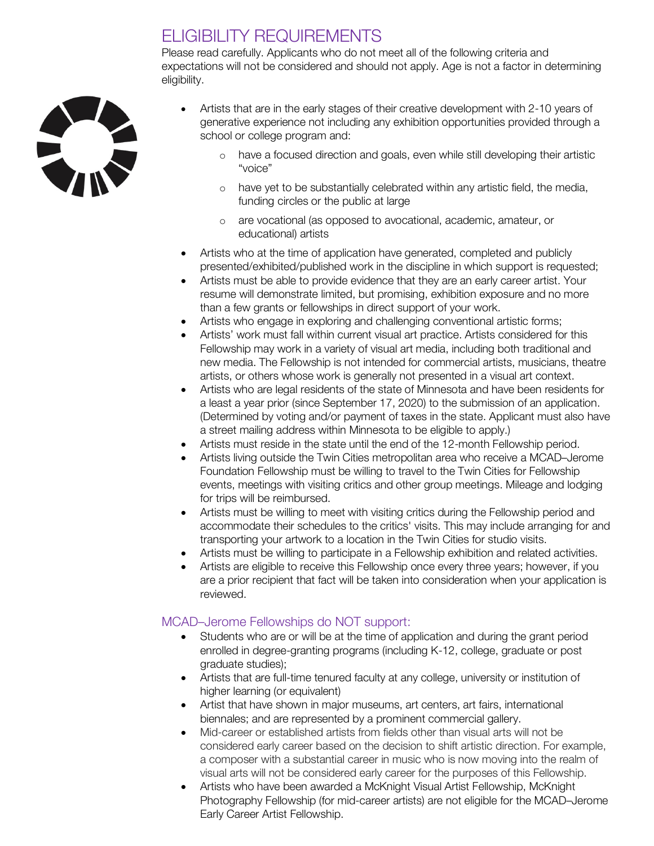## ELIGIBILITY REQUIREMENTS

Please read carefully. Applicants who do not meet all of the following criteria and expectations will not be considered and should not apply. Age is not a factor in determining eligibility.



- Artists that are in the early stages of their creative development with 2-10 years of generative experience not including any exhibition opportunities provided through a school or college program and:
	- o have a focused direction and goals, even while still developing their artistic "voice"
	- o have yet to be substantially celebrated within any artistic field, the media, funding circles or the public at large
	- o are vocational (as opposed to avocational, academic, amateur, or educational) artists
- Artists who at the time of application have generated, completed and publicly presented/exhibited/published work in the discipline in which support is requested;
- Artists must be able to provide evidence that they are an early career artist. Your resume will demonstrate limited, but promising, exhibition exposure and no more than a few grants or fellowships in direct support of your work.
- Artists who engage in exploring and challenging conventional artistic forms;
- Artists' work must fall within current visual art practice. Artists considered for this Fellowship may work in a variety of visual art media, including both traditional and new media. The Fellowship is not intended for commercial artists, musicians, theatre artists, or others whose work is generally not presented in a visual art context.
- Artists who are legal residents of the state of Minnesota and have been residents for a least a year prior (since September 17, 2020) to the submission of an application. (Determined by voting and/or payment of taxes in the state. Applicant must also have a street mailing address within Minnesota to be eligible to apply.)
- Artists must reside in the state until the end of the 12-month Fellowship period.
- Artists living outside the Twin Cities metropolitan area who receive a MCAD–Jerome Foundation Fellowship must be willing to travel to the Twin Cities for Fellowship events, meetings with visiting critics and other group meetings. Mileage and lodging for trips will be reimbursed.
- Artists must be willing to meet with visiting critics during the Fellowship period and accommodate their schedules to the critics' visits. This may include arranging for and transporting your artwork to a location in the Twin Cities for studio visits.
- Artists must be willing to participate in a Fellowship exhibition and related activities.
- Artists are eligible to receive this Fellowship once every three years; however, if you are a prior recipient that fact will be taken into consideration when your application is reviewed.

### MCAD–Jerome Fellowships do NOT support:

- Students who are or will be at the time of application and during the grant period enrolled in degree-granting programs (including K-12, college, graduate or post graduate studies);
- Artists that are full-time tenured faculty at any college, university or institution of higher learning (or equivalent)
- Artist that have shown in major museums, art centers, art fairs, international biennales; and are represented by a prominent commercial gallery.
- Mid-career or established artists from fields other than visual arts will not be considered early career based on the decision to shift artistic direction. For example, a composer with a substantial career in music who is now moving into the realm of visual arts will not be considered early career for the purposes of this Fellowship.
- Artists who have been awarded a McKnight Visual Artist Fellowship, McKnight Photography Fellowship (for mid-career artists) are not eligible for the MCAD–Jerome Early Career Artist Fellowship.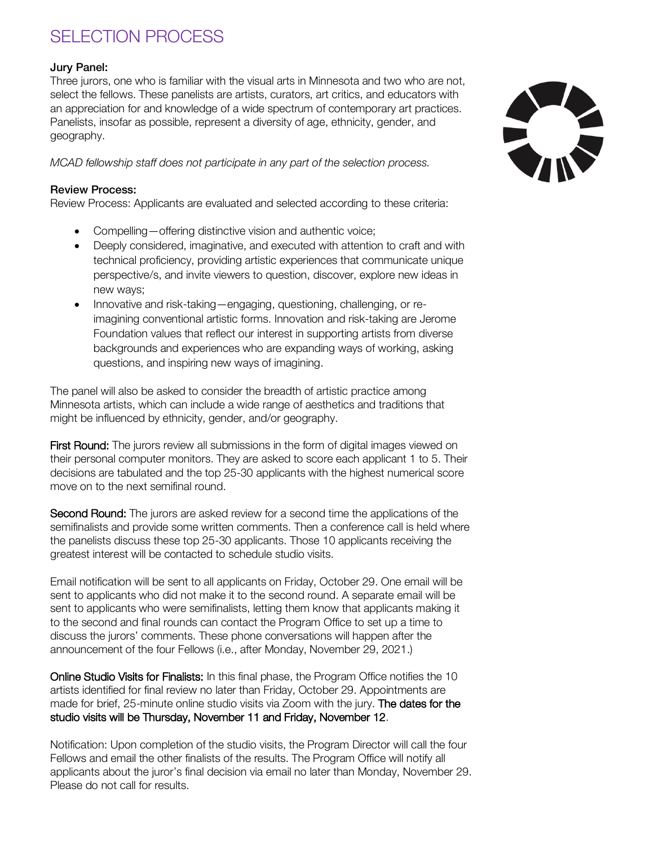# SELECTION PROCESS

#### Jury Panel:

Three jurors, one who is familiar with the visual arts in Minnesota and two who are not, select the fellows. These panelists are artists, curators, art critics, and educators with an appreciation for and knowledge of a wide spectrum of contemporary art practices. Panelists, insofar as possible, represent a diversity of age, ethnicity, gender, and geography.

*MCAD fellowship staff does not participate in any part of the selection process.* 

#### Review Process:

Review Process: Applicants are evaluated and selected according to these criteria:

- Compelling—offering distinctive vision and authentic voice;
- Deeply considered, imaginative, and executed with attention to craft and with technical proficiency, providing artistic experiences that communicate unique perspective/s, and invite viewers to question, discover, explore new ideas in new ways;
- Innovative and risk-taking—engaging, questioning, challenging, or reimagining conventional artistic forms. Innovation and risk-taking are Jerome Foundation values that reflect our interest in supporting artists from diverse backgrounds and experiences who are expanding ways of working, asking questions, and inspiring new ways of imagining.

The panel will also be asked to consider the breadth of artistic practice among Minnesota artists, which can include a wide range of aesthetics and traditions that might be influenced by ethnicity, gender, and/or geography.

First Round: The jurors review all submissions in the form of digital images viewed on their personal computer monitors. They are asked to score each applicant 1 to 5. Their decisions are tabulated and the top 25-30 applicants with the highest numerical score move on to the next semifinal round.

Second Round: The jurors are asked review for a second time the applications of the semifinalists and provide some written comments. Then a conference call is held where the panelists discuss these top 25-30 applicants. Those 10 applicants receiving the greatest interest will be contacted to schedule studio visits.

Email notification will be sent to all applicants on Friday, October 29. One email will be sent to applicants who did not make it to the second round. A separate email will be sent to applicants who were semifinalists, letting them know that applicants making it to the second and final rounds can contact the Program Office to set up a time to discuss the jurors' comments. These phone conversations will happen after the announcement of the four Fellows (i.e., after Monday, November 29, 2021.)

Online Studio Visits for Finalists: In this final phase, the Program Office notifies the 10 artists identified for final review no later than Friday, October 29. Appointments are made for brief, 25-minute online studio visits via Zoom with the jury. The dates for the studio visits will be Thursday, November 11 and Friday, November 12.

Notification: Upon completion of the studio visits, the Program Director will call the four Fellows and email the other finalists of the results. The Program Office will notify all applicants about the juror's final decision via email no later than Monday, November 29. Please do not call for results.

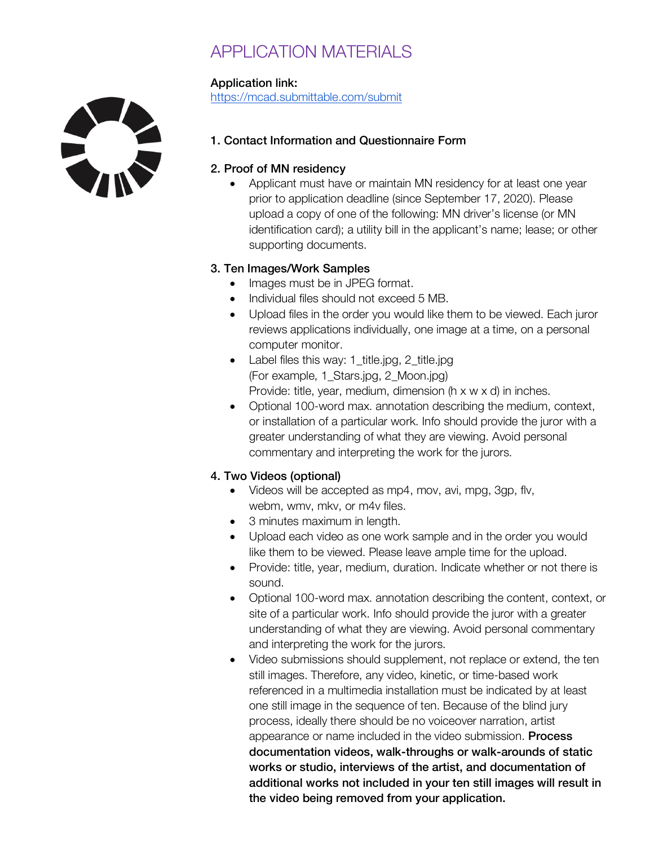# APPLICATION MATERIALS

### Application link:

https://mcad.submittable.com/submit



1. Contact Information and Questionnaire Form

#### 2. Proof of MN residency

• Applicant must have or maintain MN residency for at least one year prior to application deadline (since September 17, 2020). Please upload a copy of one of the following: MN driver's license (or MN identification card); a utility bill in the applicant's name; lease; or other supporting documents.

### 3. Ten Images/Work Samples

- Images must be in JPEG format.
- Individual files should not exceed 5 MB.
- Upload files in the order you would like them to be viewed. Each juror reviews applications individually, one image at a time, on a personal computer monitor.
- Label files this way: 1 title.jpg, 2 title.jpg (For example, 1\_Stars.jpg, 2\_Moon.jpg) Provide: title, year, medium, dimension (h x w x d) in inches.
- Optional 100-word max. annotation describing the medium, context, or installation of a particular work. Info should provide the juror with a greater understanding of what they are viewing. Avoid personal commentary and interpreting the work for the jurors.

### 4. Two Videos (optional)

- Videos will be accepted as mp4, mov, avi, mpg, 3gp, flv, webm, wmv, mkv, or m4v files.
- 3 minutes maximum in length.
- Upload each video as one work sample and in the order you would like them to be viewed. Please leave ample time for the upload.
- Provide: title, year, medium, duration. Indicate whether or not there is sound.
- Optional 100-word max. annotation describing the content, context, or site of a particular work. Info should provide the juror with a greater understanding of what they are viewing. Avoid personal commentary and interpreting the work for the jurors.
- Video submissions should supplement, not replace or extend, the ten still images. Therefore, any video, kinetic, or time-based work referenced in a multimedia installation must be indicated by at least one still image in the sequence of ten. Because of the blind jury process, ideally there should be no voiceover narration, artist appearance or name included in the video submission. Process documentation videos, walk-throughs or walk-arounds of static works or studio, interviews of the artist, and documentation of additional works not included in your ten still images will result in the video being removed from your application.